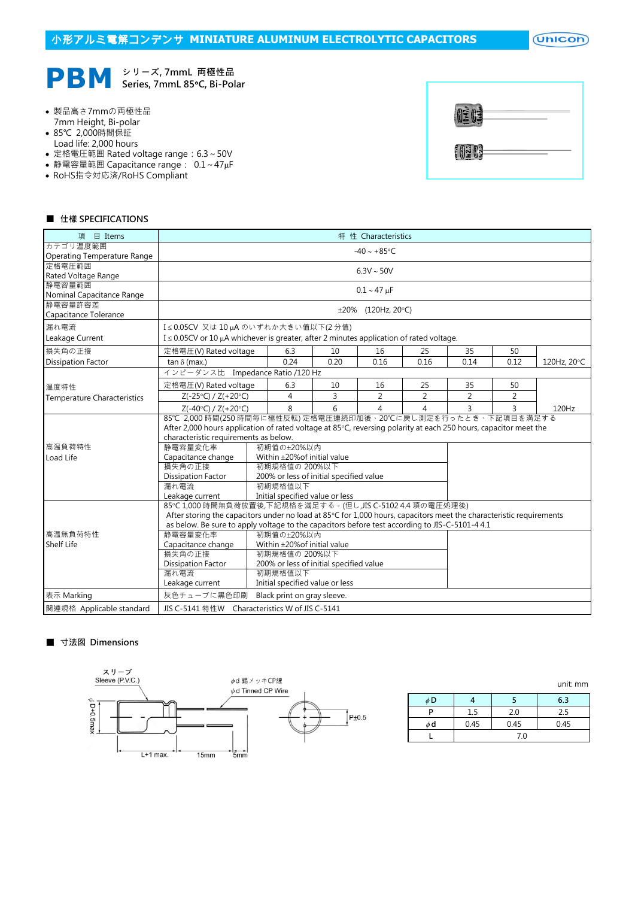$($ Unicon $)$ 



- 製品高さ7mmの両極性品 7mm Height, Bi-polar
- 85℃ 2,000時間保証
- Load life: 2,000 hours
- 定格電圧範囲 Rated voltage range:6.3~50V
- 静電容量範囲 Capacitance range: 0.1~47µF
- RoHS指令対応済/RoHS Compliant

| OEOE  |  |
|-------|--|
| 10303 |  |

#### ■ 仕樣 SPECIFICATIONS

| 項<br>目 Items                                                                                                                       | 特 性 Characteristics                                                                                                 |                                                |      |                    |      |                |      |             |  |  |
|------------------------------------------------------------------------------------------------------------------------------------|---------------------------------------------------------------------------------------------------------------------|------------------------------------------------|------|--------------------|------|----------------|------|-------------|--|--|
| カテゴリ温度範囲                                                                                                                           | $-40 \sim +85$ °C                                                                                                   |                                                |      |                    |      |                |      |             |  |  |
| Operating Temperature Range                                                                                                        |                                                                                                                     |                                                |      |                    |      |                |      |             |  |  |
| 定格雷圧範囲<br>Rated Voltage Range                                                                                                      | $6.3V \sim 50V$                                                                                                     |                                                |      |                    |      |                |      |             |  |  |
| 静電容量範囲                                                                                                                             |                                                                                                                     |                                                |      |                    |      |                |      |             |  |  |
| Nominal Capacitance Range                                                                                                          |                                                                                                                     |                                                |      | $0.1 - 47 \mu F$   |      |                |      |             |  |  |
| 静電容量許容差                                                                                                                            |                                                                                                                     |                                                |      | ±20% (120Hz, 20°C) |      |                |      |             |  |  |
| Capacitance Tolerance                                                                                                              |                                                                                                                     |                                                |      |                    |      |                |      |             |  |  |
| 漏れ電流                                                                                                                               |                                                                                                                     | I≤0.05CV 又は10µAのいずれか大きい値以下(2分値)                |      |                    |      |                |      |             |  |  |
| Leakage Current                                                                                                                    | $I \le 0.05$ CV or 10 $\mu$ A whichever is greater, after 2 minutes application of rated voltage.                   |                                                |      |                    |      |                |      |             |  |  |
| 損失角の正接                                                                                                                             | 定格電圧(V) Rated voltage                                                                                               | 6.3                                            | 10   | 16                 | 25   | 35             | 50   |             |  |  |
| <b>Dissipation Factor</b>                                                                                                          | tan $\delta$ (max.)                                                                                                 | 0.24                                           | 0.20 | 0.16               | 0.16 | 0.14           | 0.12 | 120Hz, 20°C |  |  |
|                                                                                                                                    | インピーダンス比 Impedance Ratio /120 Hz                                                                                    |                                                |      |                    |      |                |      |             |  |  |
| 温度特性                                                                                                                               | 定格電圧(V) Rated voltage                                                                                               | 6.3                                            | 10   | 16                 | 25   | 35             | 50   |             |  |  |
| <b>Temperature Characteristics</b>                                                                                                 | $Z(-25°C) / Z(+20°C)$                                                                                               | 4                                              | 3    | 2                  | 2    | $\overline{2}$ | 2    |             |  |  |
|                                                                                                                                    | $Z(-40°C) / Z(+20°C)$                                                                                               | 8                                              | 6    | 4                  | 4    | 3              | 3    | 120Hz       |  |  |
|                                                                                                                                    | 85℃ 2,000 時間(250 時間毎に極性反転) 定格電圧連続印加後、20℃に戻し測定を行ったとき、下記項目を満足する                                                       |                                                |      |                    |      |                |      |             |  |  |
|                                                                                                                                    | After 2,000 hours application of rated voltage at 85°C, reversing polarity at each 250 hours, capacitor meet the    |                                                |      |                    |      |                |      |             |  |  |
|                                                                                                                                    | characteristic requirements as below.                                                                               |                                                |      |                    |      |                |      |             |  |  |
| 高温負荷特性                                                                                                                             | 静電容量変化率                                                                                                             | 初期值の±20%以内                                     |      |                    |      |                |      |             |  |  |
| Load Life                                                                                                                          | Capacitance change<br>Within ±20% of initial value                                                                  |                                                |      |                    |      |                |      |             |  |  |
|                                                                                                                                    | 損失角の正接<br>初期規格值の 200%以下                                                                                             |                                                |      |                    |      |                |      |             |  |  |
|                                                                                                                                    | <b>Dissipation Factor</b><br>200% or less of initial specified value                                                |                                                |      |                    |      |                |      |             |  |  |
|                                                                                                                                    | 初期規格值以下<br>漏れ電流                                                                                                     |                                                |      |                    |      |                |      |             |  |  |
|                                                                                                                                    | Initial specified value or less<br>Leakage current                                                                  |                                                |      |                    |      |                |      |             |  |  |
|                                                                                                                                    | 85℃ 1,000 時間無負荷放置後,下記規格を滿足する。(但し,JIS C-5102 4.4 項の電圧処理後)                                                            |                                                |      |                    |      |                |      |             |  |  |
|                                                                                                                                    | After storing the capacitors under no load at 85°C for 1,000 hours, capacitors meet the characteristic requirements |                                                |      |                    |      |                |      |             |  |  |
| as below. Be sure to apply voltage to the capacitors before test according to JIS-C-5101-4 4.1<br>高温無負荷特性<br>静雷容量変化率<br>初期値の+20%以内 |                                                                                                                     |                                                |      |                    |      |                |      |             |  |  |
| Shelf Life                                                                                                                         | Capacitance change<br>Within ±20% of initial value                                                                  |                                                |      |                    |      |                |      |             |  |  |
|                                                                                                                                    | 損失角の正接<br>初期規格値の 200%以下                                                                                             |                                                |      |                    |      |                |      |             |  |  |
|                                                                                                                                    | 200% or less of initial specified value<br><b>Dissipation Factor</b>                                                |                                                |      |                    |      |                |      |             |  |  |
|                                                                                                                                    | 漏れ電流                                                                                                                | 初期規格值以下                                        |      |                    |      |                |      |             |  |  |
|                                                                                                                                    | Initial specified value or less<br>Leakage current                                                                  |                                                |      |                    |      |                |      |             |  |  |
| 表示 Marking                                                                                                                         | 灰色チューブに黒色印刷<br>Black print on gray sleeve.                                                                          |                                                |      |                    |      |                |      |             |  |  |
| 関連規格 Applicable standard                                                                                                           |                                                                                                                     | JIS C-5141 特性W Characteristics W of JIS C-5141 |      |                    |      |                |      |             |  |  |

# ■ 寸法図 Dimensions



|    |      |      | unit: mm |  |  |  |
|----|------|------|----------|--|--|--|
| φD |      |      | 6.3      |  |  |  |
|    | 1.5  | 2.0  | 2.5      |  |  |  |
| φd | 0.45 | 0.45 | 0.45     |  |  |  |
|    |      |      |          |  |  |  |